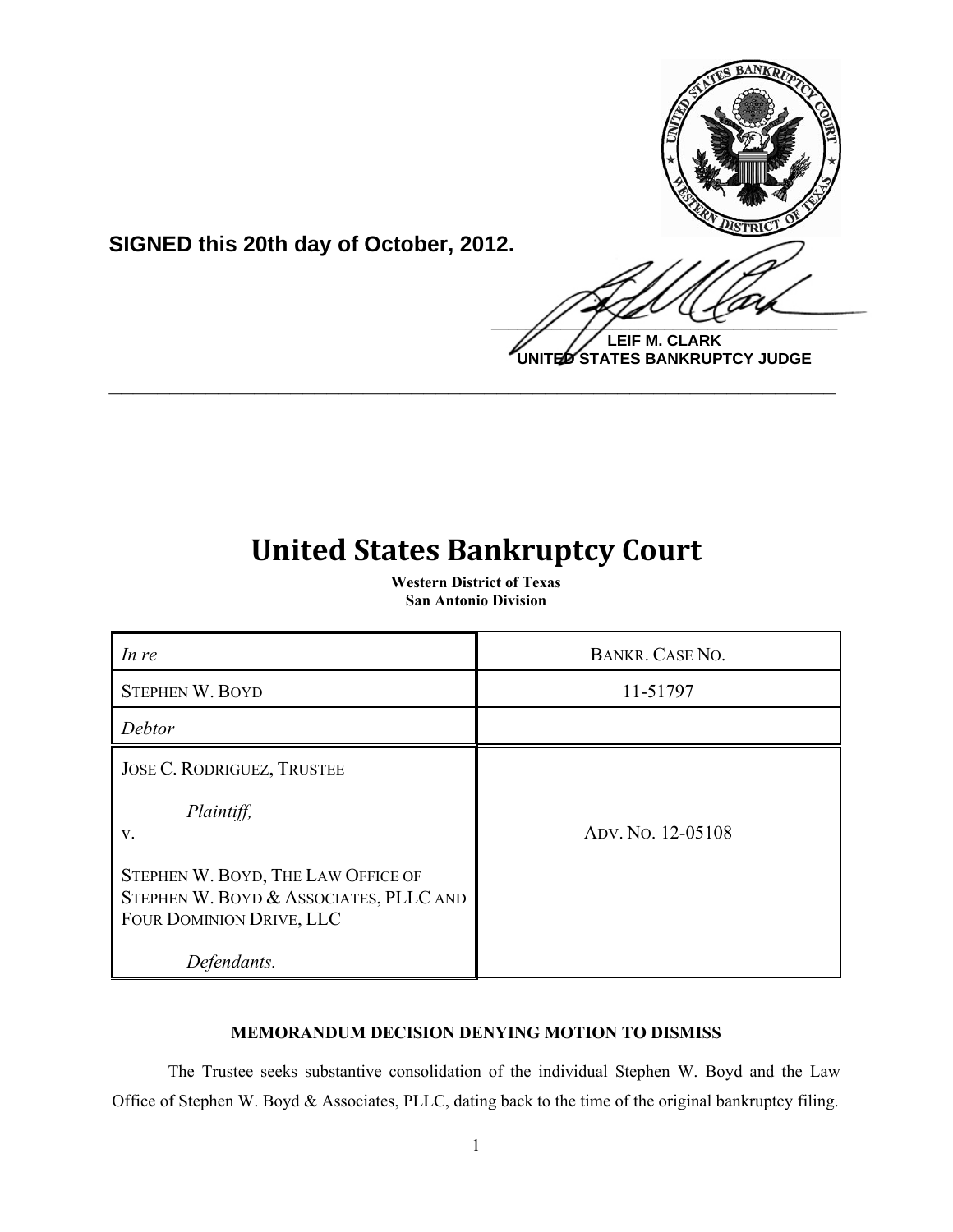

**SIGNED this 20th day of October, 2012.**

**LEIF M. CLARK UNITED STATES BANKRUPTCY JUDGE**

# **United States Bankruptcy Court**

**\_\_\_\_\_\_\_\_\_\_\_\_\_\_\_\_\_\_\_\_\_\_\_\_\_\_\_\_\_\_\_\_\_\_\_\_\_\_\_\_\_\_\_\_\_\_\_\_\_\_\_\_\_\_\_\_\_\_\_\_**

**Western District of Texas San Antonio Division**

| In re                                                                                                    | BANKR, CASE NO.   |
|----------------------------------------------------------------------------------------------------------|-------------------|
| <b>STEPHEN W. BOYD</b>                                                                                   | 11-51797          |
| Debtor                                                                                                   |                   |
| <b>JOSE C. RODRIGUEZ, TRUSTEE</b>                                                                        |                   |
| Plaintiff,<br>V.                                                                                         | ADV. No. 12-05108 |
| STEPHEN W. BOYD, THE LAW OFFICE OF<br>STEPHEN W. BOYD & ASSOCIATES, PLLC AND<br>FOUR DOMINION DRIVE, LLC |                   |
| Defendants.                                                                                              |                   |

## **MEMORANDUM DECISION DENYING MOTION TO DISMISS**

The Trustee seeks substantive consolidation of the individual Stephen W. Boyd and the Law Office of Stephen W. Boyd & Associates, PLLC, dating back to the time of the original bankruptcy filing.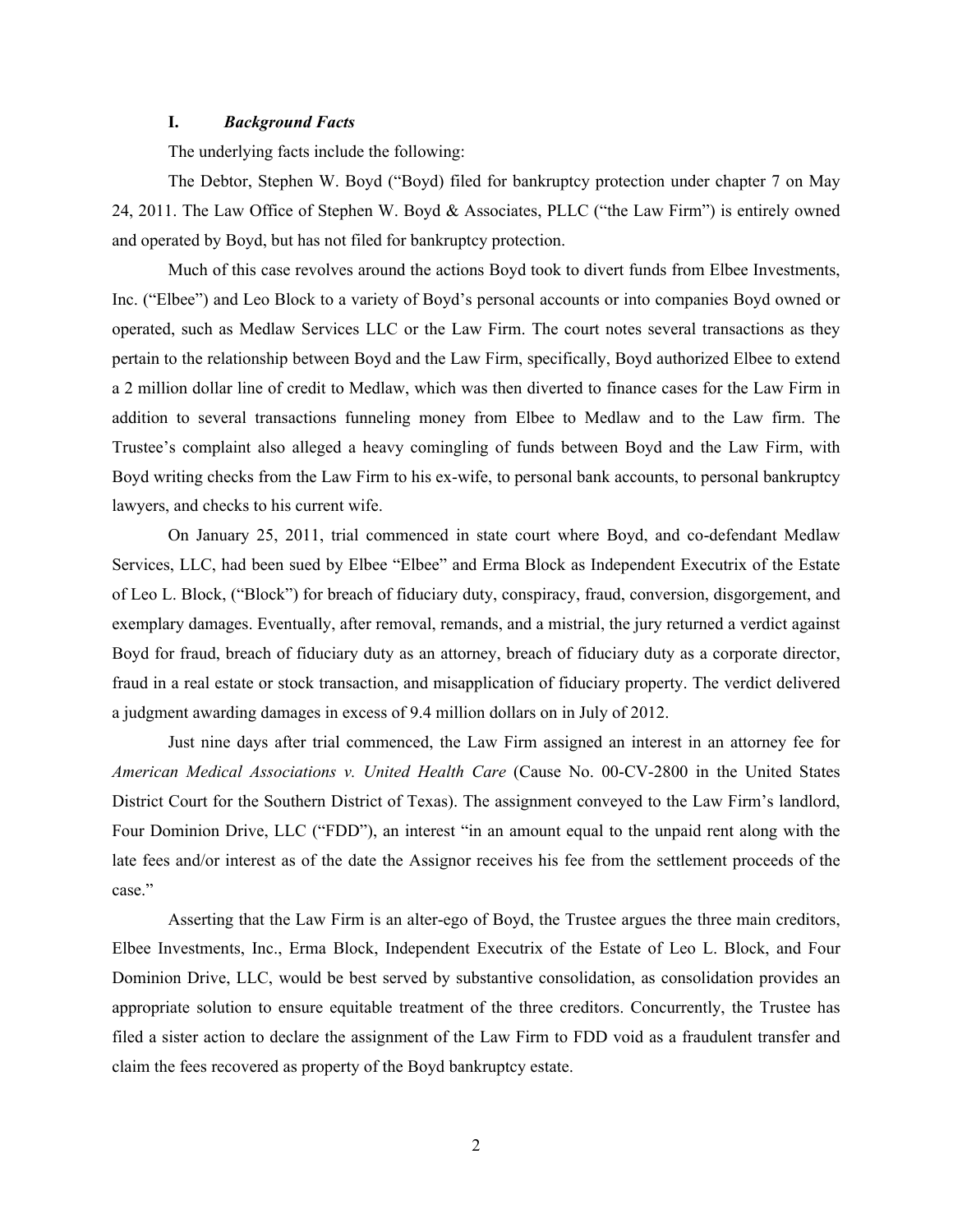### **I.** *Background Facts*

The underlying facts include the following:

The Debtor, Stephen W. Boyd ("Boyd) filed for bankruptcy protection under chapter 7 on May 24, 2011. The Law Office of Stephen W. Boyd & Associates, PLLC ("the Law Firm") is entirely owned and operated by Boyd, but has not filed for bankruptcy protection.

Much of this case revolves around the actions Boyd took to divert funds from Elbee Investments, Inc. ("Elbee") and Leo Block to a variety of Boyd's personal accounts or into companies Boyd owned or operated, such as Medlaw Services LLC or the Law Firm. The court notes several transactions as they pertain to the relationship between Boyd and the Law Firm, specifically, Boyd authorized Elbee to extend a 2 million dollar line of credit to Medlaw, which was then diverted to finance cases for the Law Firm in addition to several transactions funneling money from Elbee to Medlaw and to the Law firm. The Trustee's complaint also alleged a heavy comingling of funds between Boyd and the Law Firm, with Boyd writing checks from the Law Firm to his ex-wife, to personal bank accounts, to personal bankruptcy lawyers, and checks to his current wife.

On January 25, 2011, trial commenced in state court where Boyd, and co-defendant Medlaw Services, LLC, had been sued by Elbee "Elbee" and Erma Block as Independent Executrix of the Estate of Leo L. Block, ("Block") for breach of fiduciary duty, conspiracy, fraud, conversion, disgorgement, and exemplary damages. Eventually, after removal, remands, and a mistrial, the jury returned a verdict against Boyd for fraud, breach of fiduciary duty as an attorney, breach of fiduciary duty as a corporate director, fraud in a real estate or stock transaction, and misapplication of fiduciary property. The verdict delivered a judgment awarding damages in excess of 9.4 million dollars on in July of 2012.

Just nine days after trial commenced, the Law Firm assigned an interest in an attorney fee for *American Medical Associations v. United Health Care* (Cause No. 00-CV-2800 in the United States District Court for the Southern District of Texas). The assignment conveyed to the Law Firm's landlord, Four Dominion Drive, LLC ("FDD"), an interest "in an amount equal to the unpaid rent along with the late fees and/or interest as of the date the Assignor receives his fee from the settlement proceeds of the case."

Asserting that the Law Firm is an alter-ego of Boyd, the Trustee argues the three main creditors, Elbee Investments, Inc., Erma Block, Independent Executrix of the Estate of Leo L. Block, and Four Dominion Drive, LLC, would be best served by substantive consolidation, as consolidation provides an appropriate solution to ensure equitable treatment of the three creditors. Concurrently, the Trustee has filed a sister action to declare the assignment of the Law Firm to FDD void as a fraudulent transfer and claim the fees recovered as property of the Boyd bankruptcy estate.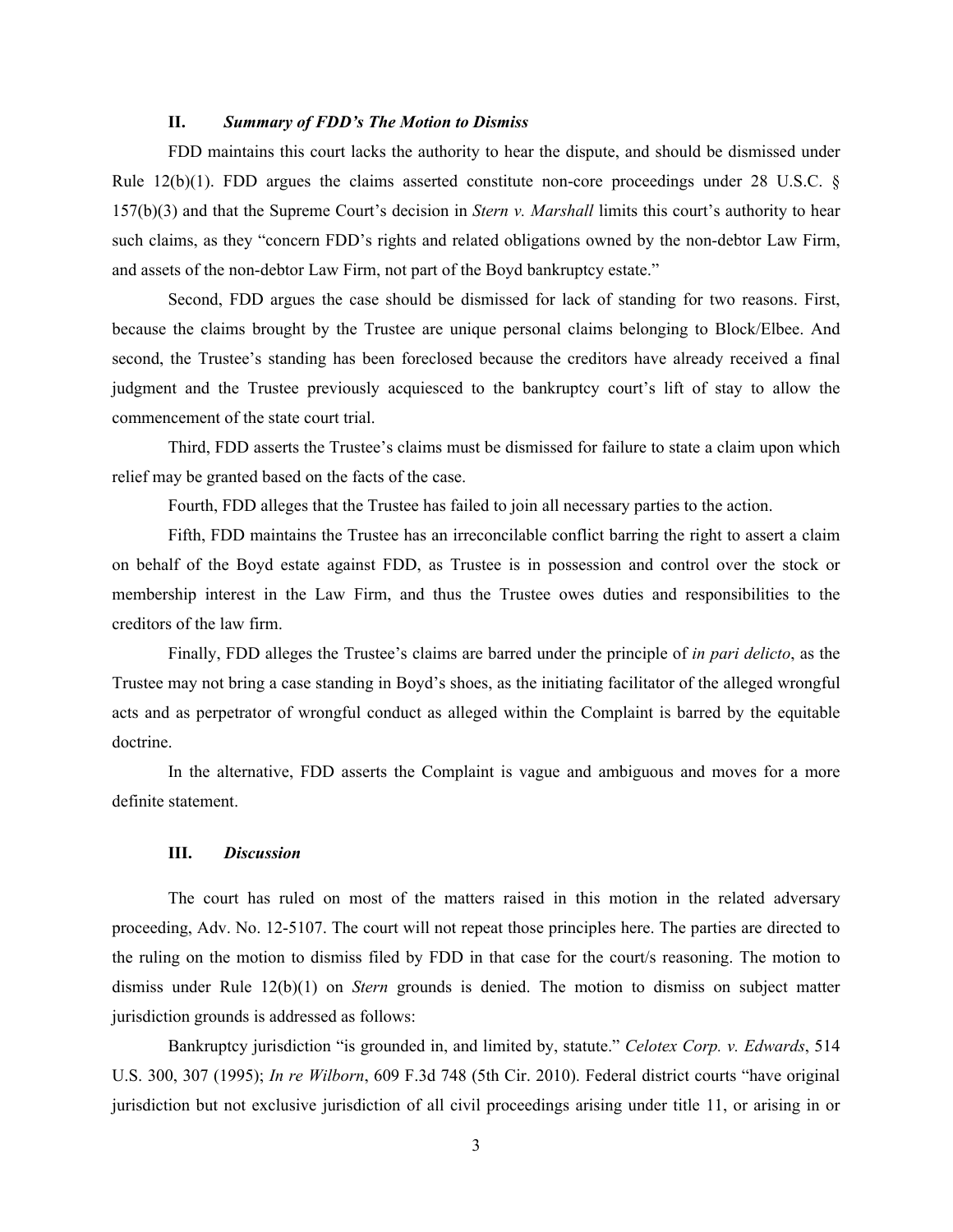#### **II.** *Summary of FDD's The Motion to Dismiss*

FDD maintains this court lacks the authority to hear the dispute, and should be dismissed under Rule 12(b)(1). FDD argues the claims asserted constitute non-core proceedings under 28 U.S.C. § 157(b)(3) and that the Supreme Court's decision in *Stern v. Marshall* limits this court's authority to hear such claims, as they "concern FDD's rights and related obligations owned by the non-debtor Law Firm, and assets of the non-debtor Law Firm, not part of the Boyd bankruptcy estate."

Second, FDD argues the case should be dismissed for lack of standing for two reasons. First, because the claims brought by the Trustee are unique personal claims belonging to Block/Elbee. And second, the Trustee's standing has been foreclosed because the creditors have already received a final judgment and the Trustee previously acquiesced to the bankruptcy court's lift of stay to allow the commencement of the state court trial.

Third, FDD asserts the Trustee's claims must be dismissed for failure to state a claim upon which relief may be granted based on the facts of the case.

Fourth, FDD alleges that the Trustee has failed to join all necessary parties to the action.

Fifth, FDD maintains the Trustee has an irreconcilable conflict barring the right to assert a claim on behalf of the Boyd estate against FDD, as Trustee is in possession and control over the stock or membership interest in the Law Firm, and thus the Trustee owes duties and responsibilities to the creditors of the law firm.

Finally, FDD alleges the Trustee's claims are barred under the principle of *in pari delicto*, as the Trustee may not bring a case standing in Boyd's shoes, as the initiating facilitator of the alleged wrongful acts and as perpetrator of wrongful conduct as alleged within the Complaint is barred by the equitable doctrine.

In the alternative, FDD asserts the Complaint is vague and ambiguous and moves for a more definite statement.

#### **III.** *Discussion*

The court has ruled on most of the matters raised in this motion in the related adversary proceeding, Adv. No. 12-5107. The court will not repeat those principles here. The parties are directed to the ruling on the motion to dismiss filed by FDD in that case for the court/s reasoning. The motion to dismiss under Rule 12(b)(1) on *Stern* grounds is denied. The motion to dismiss on subject matter jurisdiction grounds is addressed as follows:

Bankruptcy jurisdiction "is grounded in, and limited by, statute." *Celotex Corp. v. Edwards*, 514 U.S. 300, 307 (1995); *In re Wilborn*, 609 F.3d 748 (5th Cir. 2010). Federal district courts "have original jurisdiction but not exclusive jurisdiction of all civil proceedings arising under title 11, or arising in or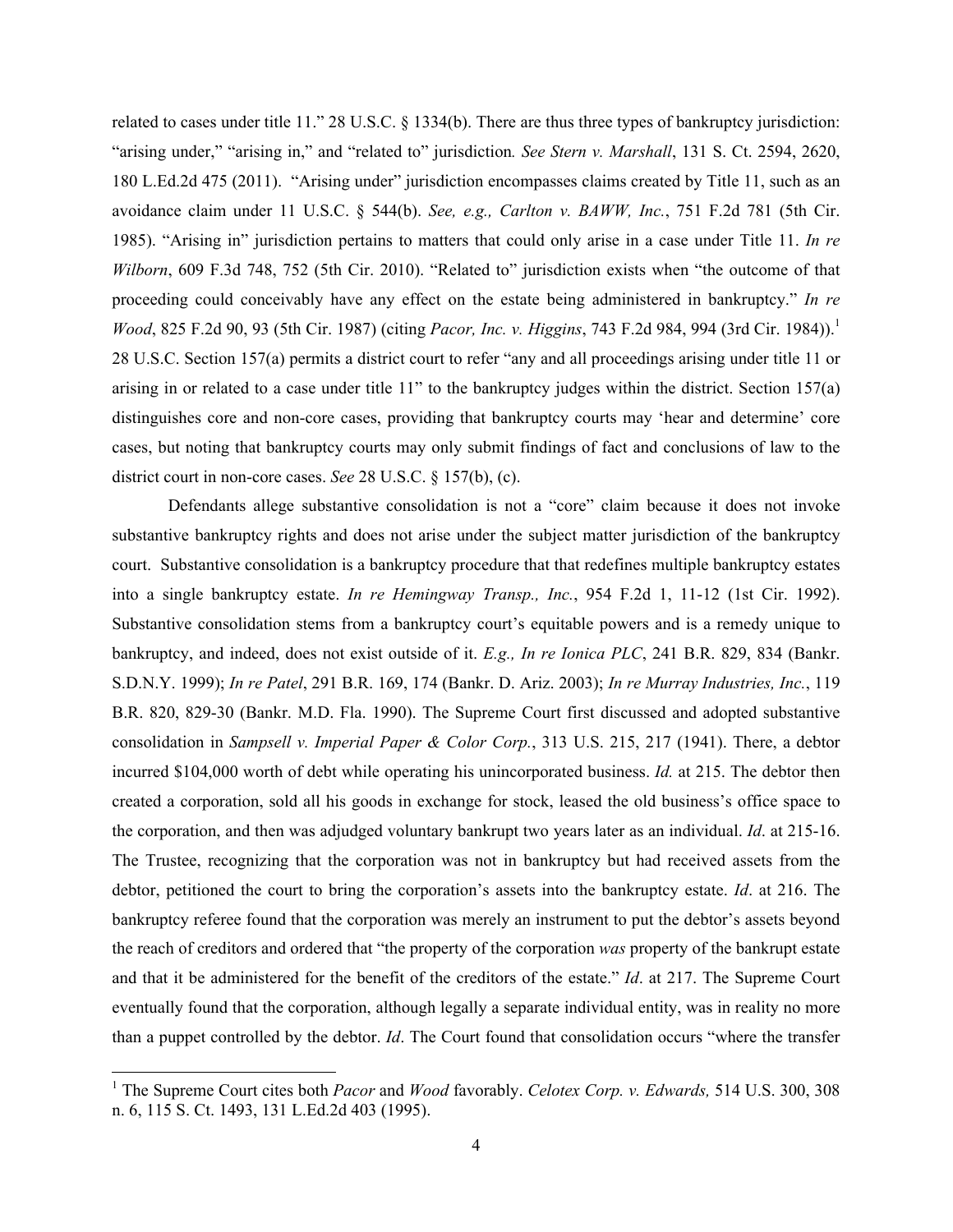related to cases under title 11." 28 U.S.C. § 1334(b). There are thus three types of bankruptcy jurisdiction: "arising under," "arising in," and "related to" jurisdiction*. See Stern v. Marshall*, 131 S. Ct. 2594, 2620, 180 L.Ed.2d 475 (2011). "Arising under" jurisdiction encompasses claims created by Title 11, such as an avoidance claim under 11 U.S.C. § 544(b). *See, e.g., Carlton v. BAWW, Inc.*, 751 F.2d 781 (5th Cir. 1985). "Arising in" jurisdiction pertains to matters that could only arise in a case under Title 11. *In re Wilborn*, 609 F.3d 748, 752 (5th Cir. 2010). "Related to" jurisdiction exists when "the outcome of that proceeding could conceivably have any effect on the estate being administered in bankruptcy." *In re Wood*, 825 F.2d 90, 93 (5th Cir. 1987) (citing *Pacor, Inc. v. Higgins*, 743 F.2d 984, 994 (3rd Cir. 1984)).<sup>1</sup> 28 U.S.C. Section 157(a) permits a district court to refer "any and all proceedings arising under title 11 or arising in or related to a case under title 11" to the bankruptcy judges within the district. Section 157(a) distinguishes core and non-core cases, providing that bankruptcy courts may 'hear and determine' core cases, but noting that bankruptcy courts may only submit findings of fact and conclusions of law to the district court in non-core cases. *See* 28 U.S.C. § 157(b), (c).

Defendants allege substantive consolidation is not a "core" claim because it does not invoke substantive bankruptcy rights and does not arise under the subject matter jurisdiction of the bankruptcy court. Substantive consolidation is a bankruptcy procedure that that redefines multiple bankruptcy estates into a single bankruptcy estate. *In re Hemingway Transp., Inc.*, 954 F.2d 1, 11-12 (1st Cir. 1992). Substantive consolidation stems from a bankruptcy court's equitable powers and is a remedy unique to bankruptcy, and indeed, does not exist outside of it. *E.g., In re Ionica PLC*, 241 B.R. 829, 834 (Bankr. S.D.N.Y. 1999); *In re Patel*, 291 B.R. 169, 174 (Bankr. D. Ariz. 2003); *In re Murray Industries, Inc.*, 119 B.R. 820, 829-30 (Bankr. M.D. Fla. 1990). The Supreme Court first discussed and adopted substantive consolidation in *Sampsell v. Imperial Paper & Color Corp.*, 313 U.S. 215, 217 (1941). There, a debtor incurred \$104,000 worth of debt while operating his unincorporated business. *Id.* at 215. The debtor then created a corporation, sold all his goods in exchange for stock, leased the old business's office space to the corporation, and then was adjudged voluntary bankrupt two years later as an individual. *Id*. at 215-16. The Trustee, recognizing that the corporation was not in bankruptcy but had received assets from the debtor, petitioned the court to bring the corporation's assets into the bankruptcy estate. *Id*. at 216. The bankruptcy referee found that the corporation was merely an instrument to put the debtor's assets beyond the reach of creditors and ordered that "the property of the corporation *was* property of the bankrupt estate and that it be administered for the benefit of the creditors of the estate." *Id*. at 217. The Supreme Court eventually found that the corporation, although legally a separate individual entity, was in reality no more than a puppet controlled by the debtor. *Id*. The Court found that consolidation occurs "where the transfer

!!!!!!!!!!!!!!!!!!!!!!!!!!!!!!!!!!!!!!!!!!!!!!!!!!!!!!!!!!!

<sup>1</sup> The Supreme Court cites both *Pacor* and *Wood* favorably. *Celotex Corp. v. Edwards,* 514 U.S. 300, 308 n. 6, 115 S. Ct. 1493, 131 L.Ed.2d 403 (1995).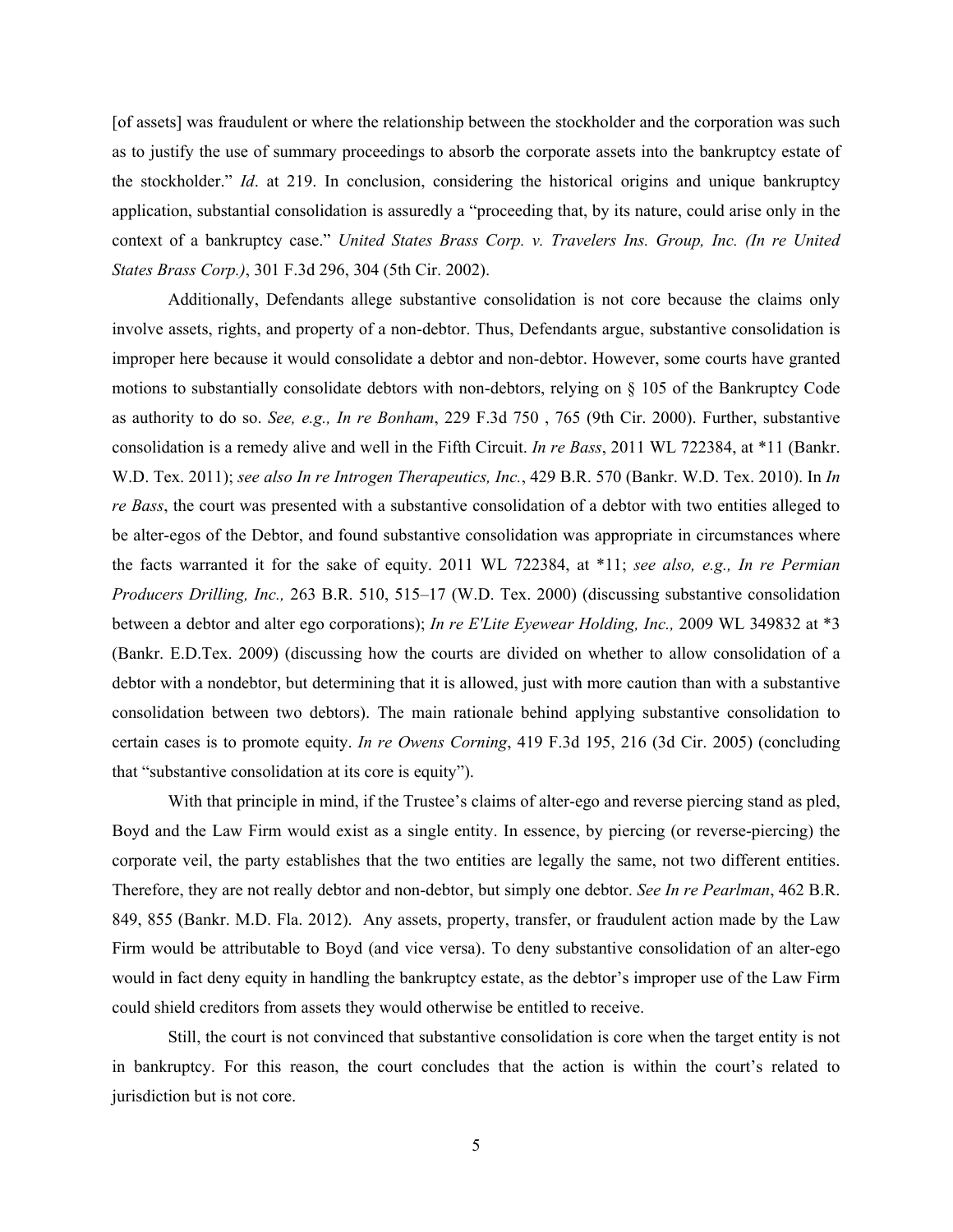[of assets] was fraudulent or where the relationship between the stockholder and the corporation was such as to justify the use of summary proceedings to absorb the corporate assets into the bankruptcy estate of the stockholder." *Id*. at 219. In conclusion, considering the historical origins and unique bankruptcy application, substantial consolidation is assuredly a "proceeding that, by its nature, could arise only in the context of a bankruptcy case." *United States Brass Corp. v. Travelers Ins. Group, Inc. (In re United States Brass Corp.)*, 301 F.3d 296, 304 (5th Cir. 2002).

Additionally, Defendants allege substantive consolidation is not core because the claims only involve assets, rights, and property of a non-debtor. Thus, Defendants argue, substantive consolidation is improper here because it would consolidate a debtor and non-debtor. However, some courts have granted motions to substantially consolidate debtors with non-debtors, relying on  $\S$  105 of the Bankruptcy Code as authority to do so. *See, e.g., In re Bonham*, 229 F.3d 750 , 765 (9th Cir. 2000). Further, substantive consolidation is a remedy alive and well in the Fifth Circuit. *In re Bass*, 2011 WL 722384, at \*11 (Bankr. W.D. Tex. 2011); *see also In re Introgen Therapeutics, Inc.*, 429 B.R. 570 (Bankr. W.D. Tex. 2010). In *In re Bass*, the court was presented with a substantive consolidation of a debtor with two entities alleged to be alter-egos of the Debtor, and found substantive consolidation was appropriate in circumstances where the facts warranted it for the sake of equity. 2011 WL 722384, at \*11; *see also, e.g., In re Permian Producers Drilling, Inc.,* 263 B.R. 510, 515–17 (W.D. Tex. 2000) (discussing substantive consolidation between a debtor and alter ego corporations); *In re E'Lite Eyewear Holding, Inc.,* 2009 WL 349832 at \*3 (Bankr. E.D.Tex. 2009) (discussing how the courts are divided on whether to allow consolidation of a debtor with a nondebtor, but determining that it is allowed, just with more caution than with a substantive consolidation between two debtors). The main rationale behind applying substantive consolidation to certain cases is to promote equity. *In re Owens Corning*, 419 F.3d 195, 216 (3d Cir. 2005) (concluding that "substantive consolidation at its core is equity").

With that principle in mind, if the Trustee's claims of alter-ego and reverse piercing stand as pled, Boyd and the Law Firm would exist as a single entity. In essence, by piercing (or reverse-piercing) the corporate veil, the party establishes that the two entities are legally the same, not two different entities. Therefore, they are not really debtor and non-debtor, but simply one debtor. *See In re Pearlman*, 462 B.R. 849, 855 (Bankr. M.D. Fla. 2012). Any assets, property, transfer, or fraudulent action made by the Law Firm would be attributable to Boyd (and vice versa). To deny substantive consolidation of an alter-ego would in fact deny equity in handling the bankruptcy estate, as the debtor's improper use of the Law Firm could shield creditors from assets they would otherwise be entitled to receive.

Still, the court is not convinced that substantive consolidation is core when the target entity is not in bankruptcy. For this reason, the court concludes that the action is within the court's related to jurisdiction but is not core.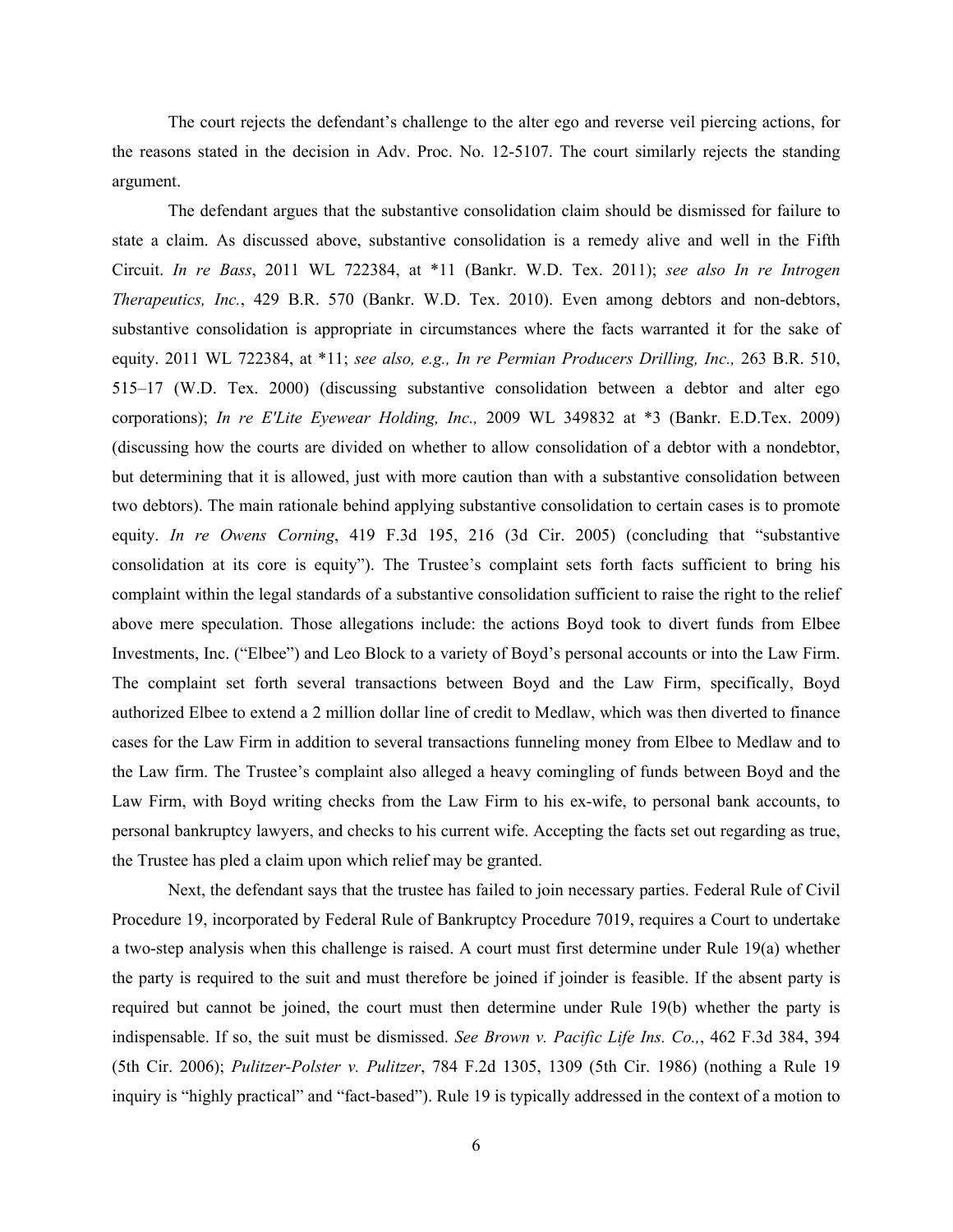The court rejects the defendant's challenge to the alter ego and reverse veil piercing actions, for the reasons stated in the decision in Adv. Proc. No. 12-5107. The court similarly rejects the standing argument.

The defendant argues that the substantive consolidation claim should be dismissed for failure to state a claim. As discussed above, substantive consolidation is a remedy alive and well in the Fifth Circuit. *In re Bass*, 2011 WL 722384, at \*11 (Bankr. W.D. Tex. 2011); *see also In re Introgen Therapeutics, Inc.*, 429 B.R. 570 (Bankr. W.D. Tex. 2010). Even among debtors and non-debtors, substantive consolidation is appropriate in circumstances where the facts warranted it for the sake of equity. 2011 WL 722384, at \*11; *see also, e.g., In re Permian Producers Drilling, Inc.,* 263 B.R. 510, 515–17 (W.D. Tex. 2000) (discussing substantive consolidation between a debtor and alter ego corporations); *In re E'Lite Eyewear Holding, Inc.,* 2009 WL 349832 at \*3 (Bankr. E.D.Tex. 2009) (discussing how the courts are divided on whether to allow consolidation of a debtor with a nondebtor, but determining that it is allowed, just with more caution than with a substantive consolidation between two debtors). The main rationale behind applying substantive consolidation to certain cases is to promote equity. *In re Owens Corning*, 419 F.3d 195, 216 (3d Cir. 2005) (concluding that "substantive consolidation at its core is equity"). The Trustee's complaint sets forth facts sufficient to bring his complaint within the legal standards of a substantive consolidation sufficient to raise the right to the relief above mere speculation. Those allegations include: the actions Boyd took to divert funds from Elbee Investments, Inc. ("Elbee") and Leo Block to a variety of Boyd's personal accounts or into the Law Firm. The complaint set forth several transactions between Boyd and the Law Firm, specifically, Boyd authorized Elbee to extend a 2 million dollar line of credit to Medlaw, which was then diverted to finance cases for the Law Firm in addition to several transactions funneling money from Elbee to Medlaw and to the Law firm. The Trustee's complaint also alleged a heavy comingling of funds between Boyd and the Law Firm, with Boyd writing checks from the Law Firm to his ex-wife, to personal bank accounts, to personal bankruptcy lawyers, and checks to his current wife. Accepting the facts set out regarding as true, the Trustee has pled a claim upon which relief may be granted.

Next, the defendant says that the trustee has failed to join necessary parties. Federal Rule of Civil Procedure 19, incorporated by Federal Rule of Bankruptcy Procedure 7019, requires a Court to undertake a two-step analysis when this challenge is raised. A court must first determine under Rule 19(a) whether the party is required to the suit and must therefore be joined if joinder is feasible. If the absent party is required but cannot be joined, the court must then determine under Rule 19(b) whether the party is indispensable. If so, the suit must be dismissed. *See Brown v. Pacific Life Ins. Co.,*, 462 F.3d 384, 394 (5th Cir. 2006); *Pulitzer-Polster v. Pulitzer*, 784 F.2d 1305, 1309 (5th Cir. 1986) (nothing a Rule 19 inquiry is "highly practical" and "fact-based"). Rule 19 is typically addressed in the context of a motion to